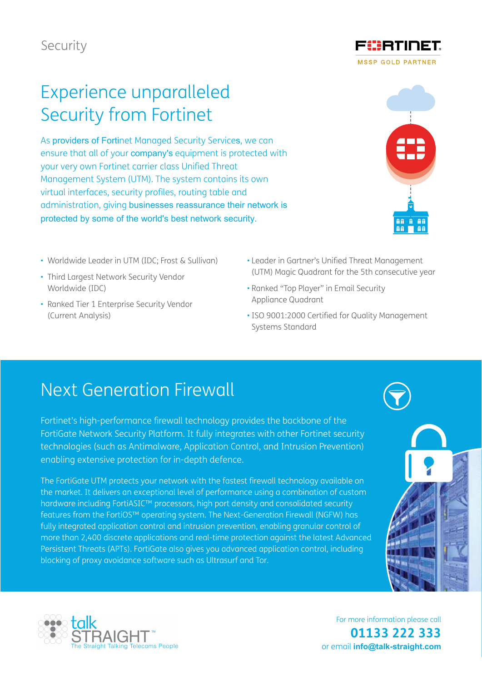Security

## Experience unparalleled Security from Fortinet

As providers of Fortinet Managed Security Services, we can ensure that all of your company's equipment is protected with your very own Fortinet carrier class Unified Threat Management System (UTM). The system contains its own virtual interfaces, security profiles, routing table and administration, giving businesses reassurance their network is protected by some of the world's best network security.

- Worldwide Leader in UTM (IDC; Frost & Sullivan)
- Third Largest Network Security Vendor Worldwide (IDC)
- Ranked Tier 1 Enterprise Security Vendor (Current Analysis)
- Leader in Gartner's Unified Threat Management (UTM) Magic Quadrant for the 5th consecutive year
- Ranked "Top Player" in Email Security Appliance Quadrant
- ISO 9001:2000 Certified for Quality Management Systems Standard

#### Next Generation Firewall

Fortinet's high-performance firewall technology provides the backbone of the FortiGate Network Security Platform. It fully integrates with other Fortinet security technologies (such as Antimalware, Application Control, and Intrusion Prevention) enabling extensive protection for in-depth defence.

The FortiGate UTM protects your network with the fastest firewall technology available on the market. It delivers an exceptional level of performance using a combination of custom hardware including FortiASIC™ processors, high port density and consolidated security features from the FortiOS™ operating system. The Next-Generation Firewall (NGFW) has fully integrated application control and intrusion prevention, enabling granular control of more than 2,400 discrete applications and real-time protection against the latest Advanced Persistent Threats (APTs). FortiGate also gives you advanced application control, including blocking of proxy avoidance software such as Ultrasurf and Tor.



For more information please call **01133 222 333**  or email **info@talk-straight.com**





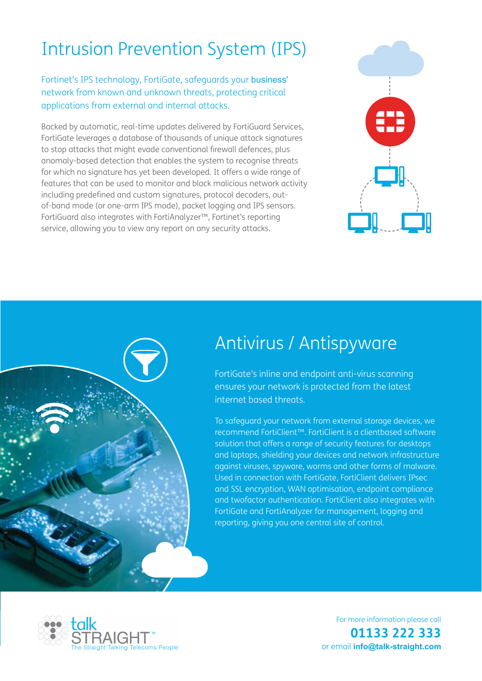# Intrusion Prevention System (IPS)

Fortinet's IPS technology, FortiGate, safeguards your business' network from known and unknown threats, protecting critical applications from external and internal attacks.

Backed by automatic, real-time updates delivered by FortiGuard Services, FortiGate leverages a database of thousands of unique attack signatures to stop attacks that might evade conventional firewall defences, plus anomaly-based detection that enables the system to recognise threats for which no signature has yet been developed. It offers a wide range of features that can be used to monitor and block malicious network activity including predefined and custom signatures, protocol decoders, outof-band mode (or one-arm IPS mode), packet logging and IPS sensors. FortiGuard also integrates with FortiAnalyzer™, Fortinet's reporting service, allowing you to view any report on any security attacks.





### Antivirus / Antispyware

FortiGate's inline and endpoint anti-virus scanning ensures your network is protected from the latest internet based threats.

To safeguard your network from external storage devices, we recommend FortiClient™. FortiClient is a clientbased software solution that offers a range of security features for desktops and laptops, shielding your devices and network infrastructure against viruses, spyware, worms and other forms of malware. Used in connection with FortiGate, FortiClient delivers IPsec and SSL encryption, WAN optimisation, endpoint compliance and twofactor authentication. FortiClient also integrates with FortiGate and FortiAnalyzer for management, logging and reporting, giving you one central site of control.



For more information please call **01133 222 333**  or email **info@talk-straight.com**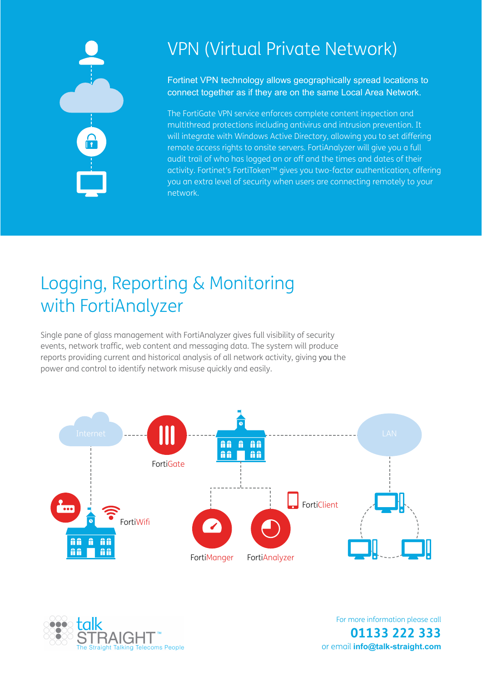

### VPN (Virtual Private Network)

Fortinet VPN technology allows geographically spread locations to connect together as if they are on the same Local Area Network.

The FortiGate VPN service enforces complete content inspection and multithread protections including antivirus and intrusion prevention. It will integrate with Windows Active Directory, allowing you to set differing remote access rights to onsite servers. FortiAnalyzer will give you a full audit trail of who has logged on or off and the times and dates of their activity. Fortinet's FortiToken™ gives you two-factor authentication, offering you an extra level of security when users are connecting remotely to your network.

# Logging, Reporting & Monitoring with FortiAnalyzer

Single pane of glass management with FortiAnalyzer gives full visibility of security events, network traffic, web content and messaging data. The system will produce reports providing current and historical analysis of all network activity, giving you the power and control to identify network misuse quickly and easily.